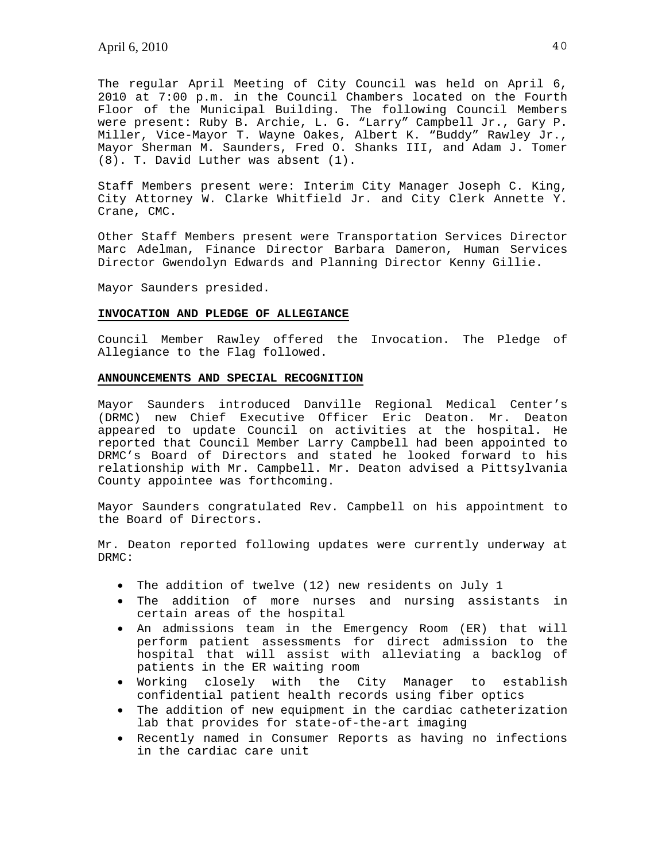The regular April Meeting of City Council was held on April 6, 2010 at 7:00 p.m. in the Council Chambers located on the Fourth Floor of the Municipal Building. The following Council Members were present: Ruby B. Archie, L. G. "Larry" Campbell Jr., Gary P. Miller, Vice-Mayor T. Wayne Oakes, Albert K. "Buddy" Rawley Jr., Mayor Sherman M. Saunders, Fred O. Shanks III, and Adam J. Tomer (8). T. David Luther was absent (1).

Staff Members present were: Interim City Manager Joseph C. King, City Attorney W. Clarke Whitfield Jr. and City Clerk Annette Y. Crane, CMC.

Other Staff Members present were Transportation Services Director Marc Adelman, Finance Director Barbara Dameron, Human Services Director Gwendolyn Edwards and Planning Director Kenny Gillie.

Mayor Saunders presided.

## **INVOCATION AND PLEDGE OF ALLEGIANCE**

Council Member Rawley offered the Invocation. The Pledge of Allegiance to the Flag followed.

## **ANNOUNCEMENTS AND SPECIAL RECOGNITION**

Mayor Saunders introduced Danville Regional Medical Center's (DRMC) new Chief Executive Officer Eric Deaton. Mr. Deaton appeared to update Council on activities at the hospital. He reported that Council Member Larry Campbell had been appointed to DRMC's Board of Directors and stated he looked forward to his relationship with Mr. Campbell. Mr. Deaton advised a Pittsylvania County appointee was forthcoming.

Mayor Saunders congratulated Rev. Campbell on his appointment to the Board of Directors.

Mr. Deaton reported following updates were currently underway at DRMC:

- The addition of twelve (12) new residents on July 1
- The addition of more nurses and nursing assistants in certain areas of the hospital
- An admissions team in the Emergency Room (ER) that will perform patient assessments for direct admission to the hospital that will assist with alleviating a backlog of patients in the ER waiting room
- Working closely with the City Manager to establish confidential patient health records using fiber optics
- The addition of new equipment in the cardiac catheterization lab that provides for state-of-the-art imaging
- Recently named in Consumer Reports as having no infections in the cardiac care unit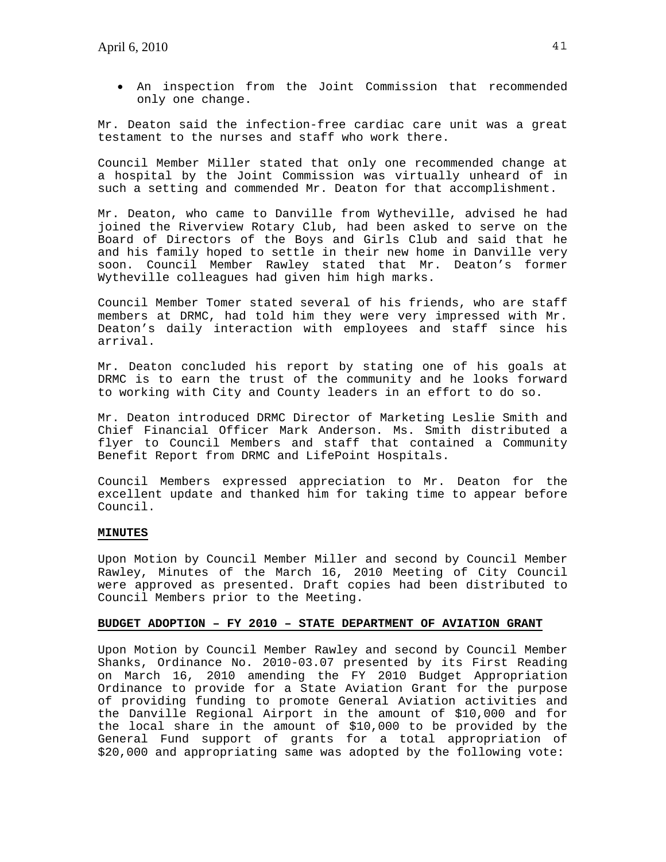• An inspection from the Joint Commission that recommended only one change.

Mr. Deaton said the infection-free cardiac care unit was a great testament to the nurses and staff who work there.

Council Member Miller stated that only one recommended change at a hospital by the Joint Commission was virtually unheard of in such a setting and commended Mr. Deaton for that accomplishment.

Mr. Deaton, who came to Danville from Wytheville, advised he had joined the Riverview Rotary Club, had been asked to serve on the Board of Directors of the Boys and Girls Club and said that he and his family hoped to settle in their new home in Danville very soon. Council Member Rawley stated that Mr. Deaton's former Wytheville colleagues had given him high marks.

Council Member Tomer stated several of his friends, who are staff members at DRMC, had told him they were very impressed with Mr. Deaton's daily interaction with employees and staff since his arrival.

Mr. Deaton concluded his report by stating one of his goals at DRMC is to earn the trust of the community and he looks forward to working with City and County leaders in an effort to do so.

Mr. Deaton introduced DRMC Director of Marketing Leslie Smith and Chief Financial Officer Mark Anderson. Ms. Smith distributed a flyer to Council Members and staff that contained a Community Benefit Report from DRMC and LifePoint Hospitals.

Council Members expressed appreciation to Mr. Deaton for the excellent update and thanked him for taking time to appear before Council.

# **MINUTES**

Upon Motion by Council Member Miller and second by Council Member Rawley, Minutes of the March 16, 2010 Meeting of City Council were approved as presented. Draft copies had been distributed to Council Members prior to the Meeting.

### **BUDGET ADOPTION – FY 2010 – STATE DEPARTMENT OF AVIATION GRANT**

Upon Motion by Council Member Rawley and second by Council Member Shanks, Ordinance No. 2010-03.07 presented by its First Reading on March 16, 2010 amending the FY 2010 Budget Appropriation Ordinance to provide for a State Aviation Grant for the purpose of providing funding to promote General Aviation activities and the Danville Regional Airport in the amount of \$10,000 and for the local share in the amount of \$10,000 to be provided by the General Fund support of grants for a total appropriation of \$20,000 and appropriating same was adopted by the following vote: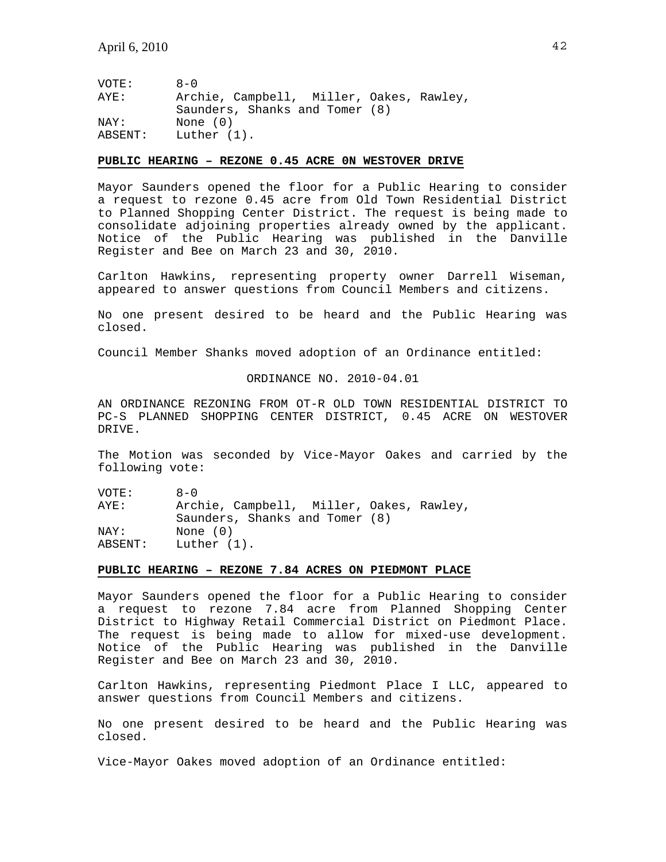| VOTE:   | $A - 0$                                  |
|---------|------------------------------------------|
| AYE:    | Archie, Campbell, Miller, Oakes, Rawley, |
|         | Saunders, Shanks and Tomer (8)           |
| NAY:    | None $(0)$                               |
| ABSENT: | Luther (1).                              |

### **PUBLIC HEARING – REZONE 0.45 ACRE 0N WESTOVER DRIVE**

Mayor Saunders opened the floor for a Public Hearing to consider a request to rezone 0.45 acre from Old Town Residential District to Planned Shopping Center District. The request is being made to consolidate adjoining properties already owned by the applicant. Notice of the Public Hearing was published in the Danville Register and Bee on March 23 and 30, 2010.

Carlton Hawkins, representing property owner Darrell Wiseman, appeared to answer questions from Council Members and citizens.

No one present desired to be heard and the Public Hearing was closed.

Council Member Shanks moved adoption of an Ordinance entitled:

ORDINANCE NO. 2010-04.01

AN ORDINANCE REZONING FROM OT-R OLD TOWN RESIDENTIAL DISTRICT TO PC-S PLANNED SHOPPING CENTER DISTRICT, 0.45 ACRE ON WESTOVER DRIVE.

The Motion was seconded by Vice-Mayor Oakes and carried by the following vote:

VOTE: 8-0 AYE: Archie, Campbell, Miller, Oakes, Rawley, Saunders, Shanks and Tomer (8) NAY: None (0) ABSENT: Luther (1).

# **PUBLIC HEARING – REZONE 7.84 ACRES ON PIEDMONT PLACE**

Mayor Saunders opened the floor for a Public Hearing to consider a request to rezone 7.84 acre from Planned Shopping Center District to Highway Retail Commercial District on Piedmont Place. The request is being made to allow for mixed-use development. Notice of the Public Hearing was published in the Danville Register and Bee on March 23 and 30, 2010.

Carlton Hawkins, representing Piedmont Place I LLC, appeared to answer questions from Council Members and citizens.

No one present desired to be heard and the Public Hearing was closed.

Vice-Mayor Oakes moved adoption of an Ordinance entitled: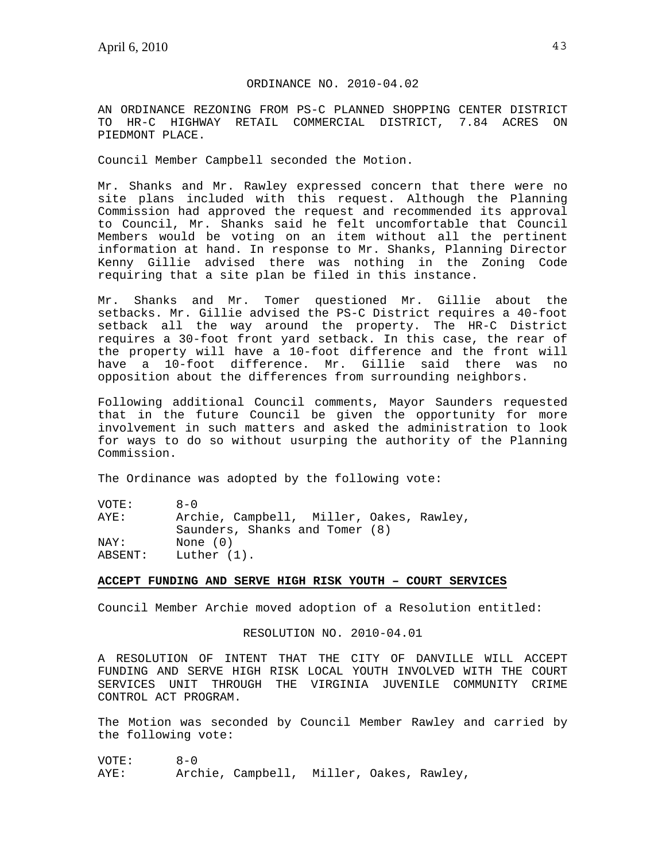# ORDINANCE NO. 2010-04.02

AN ORDINANCE REZONING FROM PS-C PLANNED SHOPPING CENTER DISTRICT TO HR-C HIGHWAY RETAIL COMMERCIAL DISTRICT, 7.84 ACRES ON PIEDMONT PLACE.

Council Member Campbell seconded the Motion.

Mr. Shanks and Mr. Rawley expressed concern that there were no site plans included with this request. Although the Planning Commission had approved the request and recommended its approval to Council, Mr. Shanks said he felt uncomfortable that Council Members would be voting on an item without all the pertinent information at hand. In response to Mr. Shanks, Planning Director Kenny Gillie advised there was nothing in the Zoning Code requiring that a site plan be filed in this instance.

Mr. Shanks and Mr. Tomer questioned Mr. Gillie about the setbacks. Mr. Gillie advised the PS-C District requires a 40-foot setback all the way around the property. The HR-C District requires a 30-foot front yard setback. In this case, the rear of the property will have a 10-foot difference and the front will have a 10-foot difference. Mr. Gillie said there was no opposition about the differences from surrounding neighbors.

Following additional Council comments, Mayor Saunders requested that in the future Council be given the opportunity for more involvement in such matters and asked the administration to look for ways to do so without usurping the authority of the Planning Commission.

The Ordinance was adopted by the following vote:

| VOTE:   | $A - 0$                                  |
|---------|------------------------------------------|
| AYE:    | Archie, Campbell, Miller, Oakes, Rawley, |
|         | Saunders, Shanks and Tomer (8)           |
| NAY:    | None $(0)$                               |
| ABSENT: | Luther (1).                              |

### **ACCEPT FUNDING AND SERVE HIGH RISK YOUTH – COURT SERVICES**

Council Member Archie moved adoption of a Resolution entitled:

RESOLUTION NO. 2010-04.01

A RESOLUTION OF INTENT THAT THE CITY OF DANVILLE WILL ACCEPT FUNDING AND SERVE HIGH RISK LOCAL YOUTH INVOLVED WITH THE COURT SERVICES UNIT THROUGH THE VIRGINIA JUVENILE COMMUNITY CRIME CONTROL ACT PROGRAM.

The Motion was seconded by Council Member Rawley and carried by the following vote:

VOTE: 8-0 AYE: Archie, Campbell, Miller, Oakes, Rawley,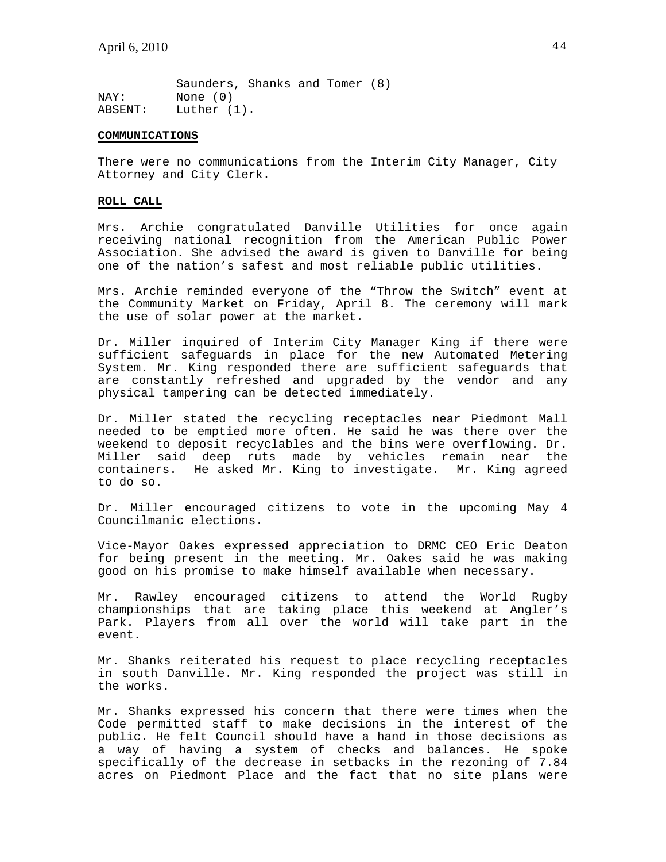Saunders, Shanks and Tomer (8) NAY: None (0) ABSENT: Luther (1).

### **COMMUNICATIONS**

There were no communications from the Interim City Manager, City Attorney and City Clerk.

## **ROLL CALL**

Mrs. Archie congratulated Danville Utilities for once again receiving national recognition from the American Public Power Association. She advised the award is given to Danville for being one of the nation's safest and most reliable public utilities.

Mrs. Archie reminded everyone of the "Throw the Switch" event at the Community Market on Friday, April 8. The ceremony will mark the use of solar power at the market.

Dr. Miller inquired of Interim City Manager King if there were sufficient safeguards in place for the new Automated Metering System. Mr. King responded there are sufficient safeguards that are constantly refreshed and upgraded by the vendor and any physical tampering can be detected immediately.

Dr. Miller stated the recycling receptacles near Piedmont Mall needed to be emptied more often. He said he was there over the weekend to deposit recyclables and the bins were overflowing. Dr. Miller said deep ruts made by vehicles remain near the containers. He asked Mr. King to investigate. Mr. King agreed to do so.

Dr. Miller encouraged citizens to vote in the upcoming May 4 Councilmanic elections.

Vice-Mayor Oakes expressed appreciation to DRMC CEO Eric Deaton for being present in the meeting. Mr. Oakes said he was making good on his promise to make himself available when necessary.

Mr. Rawley encouraged citizens to attend the World Rugby championships that are taking place this weekend at Angler's Park. Players from all over the world will take part in the event.

Mr. Shanks reiterated his request to place recycling receptacles in south Danville. Mr. King responded the project was still in the works.

Mr. Shanks expressed his concern that there were times when the Code permitted staff to make decisions in the interest of the public. He felt Council should have a hand in those decisions as a way of having a system of checks and balances. He spoke specifically of the decrease in setbacks in the rezoning of 7.84 acres on Piedmont Place and the fact that no site plans were